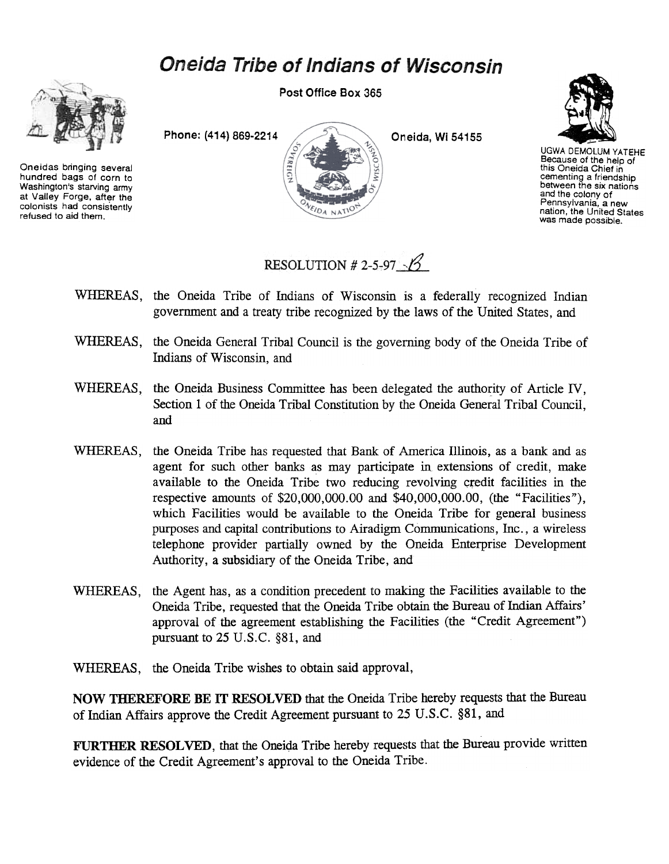## **Oneida Tribe of Indians of Wisconsin**



Oneidas bringing several hundred bags of corn to Washington's starving army at Valley Forge. after the colonists had consistently refused to aid them.

Post Office Box 365





UGWA DEMOLUM YATEHE Because of the help of this Oneida Chief in cementing a friendship<br>between the six nation and the colony of Pennsylvania, a new nation, the United States was made possible.

RESOLUTION # 2-5-97

- WHEREAS, the Oneida Tribe of Indians of Wisconsin is a federally recognized Indian government and a treaty tribe recognized by the laws of the United States, and
- WHEREAS, the Oneida General Tribal Council is the governing body of the Oneida Tribe of Indians of Wisconsin, and
- WHEREAS, the Oneida Business Committee has been delegated the authority of Article IV, Section 1 of the Oneida Tribal Constitution by the Oneida General Tribal Council, and
- WHEREAS, the Oneida Tribe has requested that Bank of America Illinois, as a bank and as agent for such other banks as may participate in extensions of credit, make available to the Oneida Tribe two reducing revolving credit facilities in the respective amounts of \$20,000,000.00 and \$40,000,000.00, (the "Facilities"), which Facilities would be available to the Oneida Tribe for general business purposes and capital contributions to Airadigm Communications, Inc., a wireless telephone provider partially owned by the Oneida Enterprise Development Authority, a subsidiary of the Oneida Tribe, and
- WHEREAS, the Agent has, as a condition precedent to making the Facilities available to the Oneida Tribe, requested that the Oneida Tribe obtain the Bureau of Indian Affairs' approval of the agreement establishing the Facilities (the "Credit Agreement") pursuant to 25 V.S.C. §81, and
- WHEREAS, the Oneida Tribe wishes to obtain said approval,

NOW THEREFORE BE IT RESOLVED that the Oneida Tribe hereby requests that the Bureau of Indian Affairs approve the Credit Agreement pursuant to 25 U.S.C. §81, and

FURTHER RESOLVED, that the Oneida Tribe hereby requests that the Bureau provide written evidence of the Credit Agreement's approval to the Oneida Tribe.